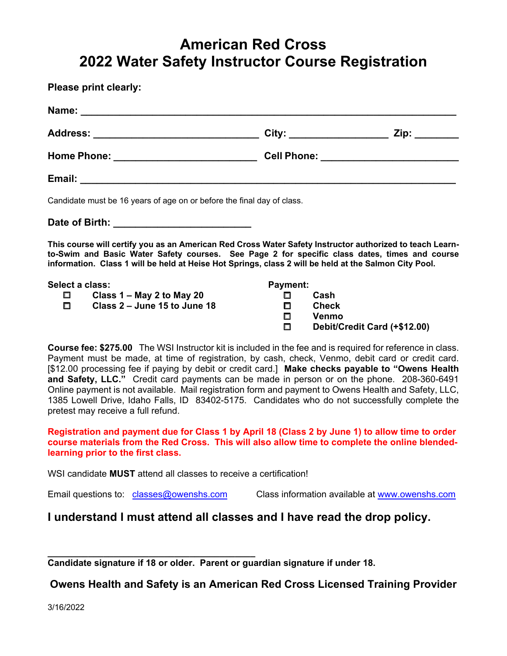# **American Red Cross 2022 Water Safety Instructor Course Registration**

**Please print clearly:** 

| Address: __________________________________                                                                                                                                                                                                                                                                        |                 |  |
|--------------------------------------------------------------------------------------------------------------------------------------------------------------------------------------------------------------------------------------------------------------------------------------------------------------------|-----------------|--|
|                                                                                                                                                                                                                                                                                                                    |                 |  |
|                                                                                                                                                                                                                                                                                                                    |                 |  |
| Candidate must be 16 years of age on or before the final day of class.                                                                                                                                                                                                                                             |                 |  |
|                                                                                                                                                                                                                                                                                                                    |                 |  |
| This course will certify you as an American Red Cross Water Safety Instructor authorized to teach Learn-<br>to-Swim and Basic Water Safety courses. See Page 2 for specific class dates, times and course<br>information. Class 1 will be held at Heise Hot Springs, class 2 will be held at the Salmon City Pool. |                 |  |
| Select a class:                                                                                                                                                                                                                                                                                                    | <b>Payment:</b> |  |

 **Class 1 – May 2 to May 20 Class 2 – June 15 to June 18 Payment: Cash Check Venmo Debit/Credit Card (+\$12.00)**

**Course fee: \$275.00** The WSI Instructor kit is included in the fee and is required for reference in class. Payment must be made, at time of registration, by cash, check, Venmo, debit card or credit card. [\$12.00 processing fee if paying by debit or credit card.] **Make checks payable to "Owens Health and Safety, LLC."** Credit card payments can be made in person or on the phone. 208-360-6491 Online payment is not available. Mail registration form and payment to Owens Health and Safety, LLC, 1385 Lowell Drive, Idaho Falls, ID 83402-5175. Candidates who do not successfully complete the pretest may receive a full refund.

**Registration and payment due for Class 1 by April 18 (Class 2 by June 1) to allow time to order course materials from the Red Cross. This will also allow time to complete the online blendedlearning prior to the first class.** 

WSI candidate **MUST** attend all classes to receive a certification!

Email questions to: classes@owenshs.com Class information available at www.owenshs.com

## **I understand I must attend all classes and I have read the drop policy.**

**\_\_\_\_\_\_\_\_\_\_\_\_\_\_\_\_\_\_\_\_\_\_\_\_\_\_\_\_\_\_\_\_\_\_\_\_\_\_\_\_\_ Candidate signature if 18 or older. Parent or guardian signature if under 18.** 

**Owens Health and Safety is an American Red Cross Licensed Training Provider** 

3/16/2022